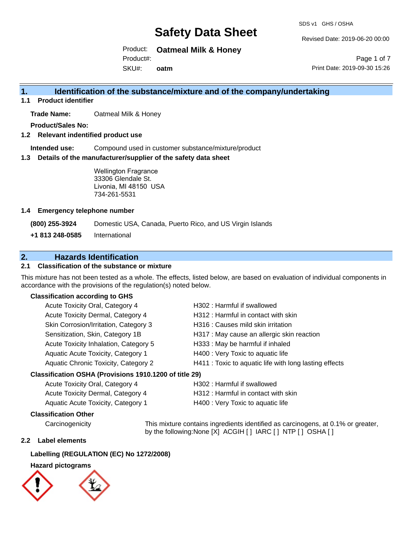SDS v1 GHS / OSHA

Revised Date: 2019-06-20 00:00

Product: **Oatmeal Milk & Honey**

Product#:

SKU#: **oatm**

Page 1 of 7 Print Date: 2019-09-30 15:26

## **1. Identification of the substance/mixture and of the company/undertaking**

**1.1 Product identifier**

**Trade Name:** Oatmeal Milk & Honey

**Product/Sales No:**

**1.2 Relevant indentified product use**

**Intended use:** Compound used in customer substance/mixture/product

**1.3 Details of the manufacturer/supplier of the safety data sheet**

Wellington Fragrance 33306 Glendale St. Livonia, MI 48150 USA 734-261-5531

### **1.4 Emergency telephone number**

**(800) 255-3924** Domestic USA, Canada, Puerto Rico, and US Virgin Islands

**+1 813 248-0585** International

## **2. Hazards Identification**

### **2.1 Classification of the substance or mixture**

This mixture has not been tested as a whole. The effects, listed below, are based on evaluation of individual components in accordance with the provisions of the regulation(s) noted below.

### **Classification according to GHS**

| Acute Toxicity Oral, Category 4                     | H302: Harmful if swallowed                             |
|-----------------------------------------------------|--------------------------------------------------------|
| Acute Toxicity Dermal, Category 4                   | H312 : Harmful in contact with skin                    |
| Skin Corrosion/Irritation, Category 3               | H316 : Causes mild skin irritation                     |
| Sensitization, Skin, Category 1B                    | H317 : May cause an allergic skin reaction             |
| Acute Toxicity Inhalation, Category 5               | H333: May be harmful if inhaled                        |
| Aquatic Acute Toxicity, Category 1                  | H400 : Very Toxic to aquatic life                      |
| Aquatic Chronic Toxicity, Category 2                | H411 : Toxic to aquatic life with long lasting effects |
| esification OSHA (Provisions 1010 1200 of title 20) |                                                        |

### **Classification OSHA (Provisions 1910.1200 of title 29)**

| Acute Toxicity Oral, Category 4    | H302 : Harmful if swallowed         |
|------------------------------------|-------------------------------------|
| Acute Toxicity Dermal, Category 4  | H312 : Harmful in contact with skin |
| Aquatic Acute Toxicity, Category 1 | H400 : Very Toxic to aquatic life   |

### **Classification Other**

Carcinogenicity This mixture contains ingredients identified as carcinogens, at 0.1% or greater, by the following:None [X] ACGIH [ ] IARC [ ] NTP [ ] OSHA [ ]

### **2.2 Label elements**

## **Labelling (REGULATION (EC) No 1272/2008)**

## **Hazard pictograms**

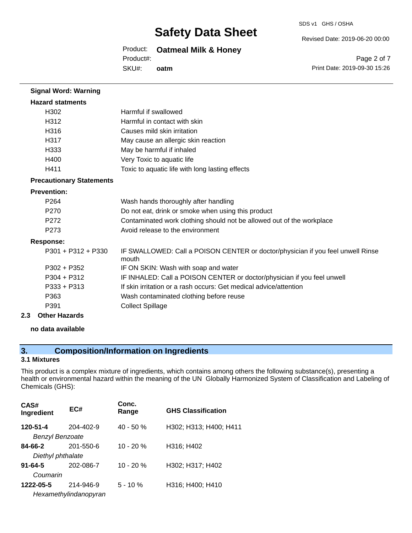SDS v1 GHS / OSHA

Revised Date: 2019-06-20 00:00

## Product: **Oatmeal Milk & Honey**

Product#:

SKU#: **oatm**

Page 2 of 7 Print Date: 2019-09-30 15:26

| <b>Signal Word: Warning</b>     |                                                                                          |
|---------------------------------|------------------------------------------------------------------------------------------|
| <b>Hazard statments</b>         |                                                                                          |
| H302                            | Harmful if swallowed                                                                     |
| H312                            | Harmful in contact with skin                                                             |
| H316                            | Causes mild skin irritation                                                              |
| H317                            | May cause an allergic skin reaction                                                      |
| H333                            | May be harmful if inhaled                                                                |
| H400                            | Very Toxic to aquatic life                                                               |
| H411                            | Toxic to aquatic life with long lasting effects                                          |
| <b>Precautionary Statements</b> |                                                                                          |
| <b>Prevention:</b>              |                                                                                          |
| P264                            | Wash hands thoroughly after handling                                                     |
| P270                            | Do not eat, drink or smoke when using this product                                       |
| P272                            | Contaminated work clothing should not be allowed out of the workplace                    |
| P <sub>273</sub>                | Avoid release to the environment                                                         |
| <b>Response:</b>                |                                                                                          |
| $P301 + P312 + P330$            | IF SWALLOWED: Call a POISON CENTER or doctor/physician if you feel unwell Rinse<br>mouth |
| $P302 + P352$                   | IF ON SKIN: Wash with soap and water                                                     |
| P304 + P312                     | IF INHALED: Call a POISON CENTER or doctor/physician if you feel unwell                  |
| P333 + P313                     | If skin irritation or a rash occurs: Get medical advice/attention                        |
| P363                            | Wash contaminated clothing before reuse                                                  |
| P391                            | <b>Collect Spillage</b>                                                                  |
| <b>Other Hazards</b><br>2.3     |                                                                                          |

## **no data available**

## **3. Composition/Information on Ingredients**

### **3.1 Mixtures**

This product is a complex mixture of ingredients, which contains among others the following substance(s), presenting a health or environmental hazard within the meaning of the UN Globally Harmonized System of Classification and Labeling of Chemicals (GHS):

| CAS#<br>Ingredient     | EC#                   | Conc.<br>Range | <b>GHS Classification</b> |
|------------------------|-----------------------|----------------|---------------------------|
| 120-51-4               | 204-402-9             | $40 - 50%$     | H302; H313; H400; H411    |
| <b>Benzyl Benzoate</b> |                       |                |                           |
| 84-66-2                | 201-550-6             | $10 - 20%$     | H316; H402                |
| Diethyl phthalate      |                       |                |                           |
| $91 - 64 - 5$          | 202-086-7             | $10 - 20 %$    | H302; H317; H402          |
| Coumarin               |                       |                |                           |
| 1222-05-5              | 214-946-9             | $5 - 10%$      | H316; H400; H410          |
|                        | Hexamethylindanopyran |                |                           |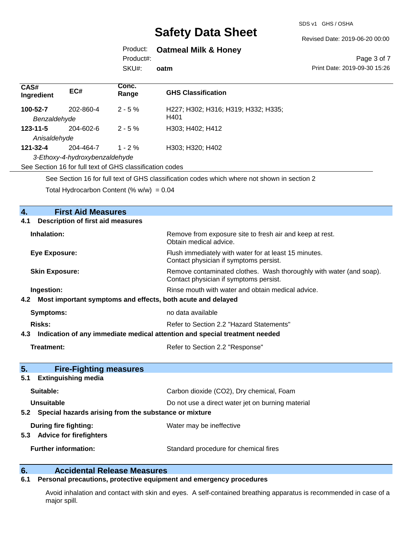SDS v1 GHS / OSHA

Revised Date: 2019-06-20 00:00

## Product: **Oatmeal Milk & Honey**

Product#:

SKU#: **oatm**

#### Page 3 of 7 Print Date: 2019-09-30 15:26

| CAS#<br>Ingredient       | EC#                                                      | Conc.<br>Range | <b>GHS Classification</b>                                                                                                                                                                                                                                                                                                                                         |
|--------------------------|----------------------------------------------------------|----------------|-------------------------------------------------------------------------------------------------------------------------------------------------------------------------------------------------------------------------------------------------------------------------------------------------------------------------------------------------------------------|
| 100-52-7<br>Benzaldehyde | 202-860-4                                                | $2 - 5 \%$     | H227; H302; H316; H319; H332; H335;<br>H401                                                                                                                                                                                                                                                                                                                       |
| $123 - 11 - 5$           | $204 - 602 - 6$                                          | $2 - 5%$       | H303; H402; H412                                                                                                                                                                                                                                                                                                                                                  |
| Anisaldehyde             |                                                          |                |                                                                                                                                                                                                                                                                                                                                                                   |
| 121-32-4                 | 204-464-7                                                | $1 - 2%$       | H303; H320; H402                                                                                                                                                                                                                                                                                                                                                  |
|                          | 3-Ethoxy-4-hydroxybenzaldehyde                           |                |                                                                                                                                                                                                                                                                                                                                                                   |
|                          | See Section 16 for full text of GHS classification codes |                |                                                                                                                                                                                                                                                                                                                                                                   |
|                          |                                                          |                | $\bigcap_{i=1}^n \bigcap_{i=1}^n \bigcap_{i=1}^n \bigcap_{i=1}^n \bigcap_{i=1}^n \bigcap_{i=1}^n \bigcap_{i=1}^n \bigcap_{i=1}^n \bigcap_{i=1}^n \bigcap_{i=1}^n \bigcap_{i=1}^n \bigcap_{i=1}^n \bigcap_{i=1}^n \bigcap_{i=1}^n \bigcap_{i=1}^n \bigcap_{i=1}^n \bigcap_{i=1}^n \bigcap_{i=1}^n \bigcap_{i=1}^n \bigcap_{i=1}^n \bigcap_{i=1}^n \bigcap_{i=1}^n$ |

See Section 16 for full text of GHS classification codes which where not shown in section 2

Total Hydrocarbon Content (%  $w/w$ ) = 0.04

| 4.<br><b>First Aid Measures</b>                                                   |                                                                                                               |
|-----------------------------------------------------------------------------------|---------------------------------------------------------------------------------------------------------------|
| <b>Description of first aid measures</b><br>4.1                                   |                                                                                                               |
| Inhalation:                                                                       | Remove from exposure site to fresh air and keep at rest.<br>Obtain medical advice.                            |
| <b>Eye Exposure:</b>                                                              | Flush immediately with water for at least 15 minutes.<br>Contact physician if symptoms persist.               |
| <b>Skin Exposure:</b>                                                             | Remove contaminated clothes. Wash thoroughly with water (and soap).<br>Contact physician if symptoms persist. |
| Ingestion:                                                                        | Rinse mouth with water and obtain medical advice.                                                             |
| Most important symptoms and effects, both acute and delayed<br>4.2                |                                                                                                               |
| <b>Symptoms:</b>                                                                  | no data available                                                                                             |
| <b>Risks:</b>                                                                     | Refer to Section 2.2 "Hazard Statements"                                                                      |
| Indication of any immediate medical attention and special treatment needed<br>4.3 |                                                                                                               |
| <b>Treatment:</b>                                                                 | Refer to Section 2.2 "Response"                                                                               |
| 5.<br><b>Fire-Fighting measures</b>                                               |                                                                                                               |
| <b>Extinguishing media</b><br>5.1                                                 |                                                                                                               |
| Suitable:                                                                         | Carbon dioxide (CO2), Dry chemical, Foam                                                                      |
| Unsuitable                                                                        | Do not use a direct water jet on burning material                                                             |
| 5.2 Special hazards arising from the substance or mixture                         |                                                                                                               |
| During fire fighting:<br><b>Advice for firefighters</b><br>5.3                    | Water may be ineffective                                                                                      |
| <b>Further information:</b>                                                       | Standard procedure for chemical fires                                                                         |

# **6. Calcidental Release Measures**<br>**6.1** Personal precautions, protective equipm

## **6.1 Personal precautions, protective equipment and emergency procedures**

Avoid inhalation and contact with skin and eyes. A self-contained breathing apparatus is recommended in case of a major spill.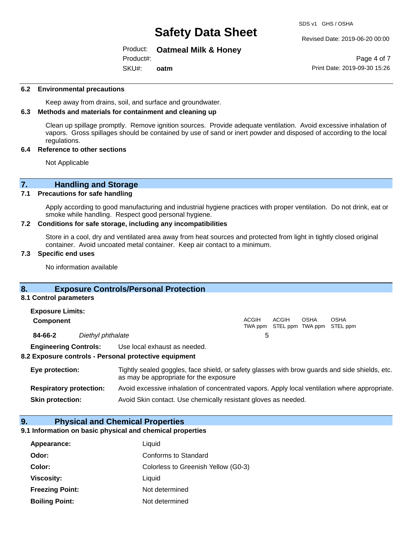#### Revised Date: 2019-06-20 00:00

#### Product: **Oatmeal Milk & Honey**

SKU#: Product#: **oatm**

Page 4 of 7 Print Date: 2019-09-30 15:26

#### **6.2 Environmental precautions**

Keep away from drains, soil, and surface and groundwater.

#### **6.3 Methods and materials for containment and cleaning up**

Clean up spillage promptly. Remove ignition sources. Provide adequate ventilation. Avoid excessive inhalation of vapors. Gross spillages should be contained by use of sand or inert powder and disposed of according to the local regulations.

#### **6.4 Reference to other sections**

Not Applicable

## **7. Handling and Storage**

### **7.1 Precautions for safe handling**

Apply according to good manufacturing and industrial hygiene practices with proper ventilation. Do not drink, eat or smoke while handling. Respect good personal hygiene.

#### **7.2 Conditions for safe storage, including any incompatibilities**

Store in a cool, dry and ventilated area away from heat sources and protected from light in tightly closed original container. Avoid uncoated metal container. Keep air contact to a minimum.

#### **7.3 Specific end uses**

No information available

### **8. Exposure Controls/Personal Protection**

#### **8.1 Control parameters**

| <b>Exposure Limits:</b>      |                   |                              |              |       |             |                                           |
|------------------------------|-------------------|------------------------------|--------------|-------|-------------|-------------------------------------------|
| <b>Component</b>             |                   |                              | <b>ACGIH</b> | ACGIH | <b>OSHA</b> | OSHA<br>TWA ppm STEL ppm TWA ppm STEL ppm |
| 84-66-2                      | Diethyl phthalate |                              |              |       |             |                                           |
| <b>Engineering Controls:</b> |                   | Use local exhaust as needed. |              |       |             |                                           |

#### **8.2 Exposure controls - Personal protective equipment**

| Eye protection:                | Tightly sealed goggles, face shield, or safety glasses with brow guards and side shields, etc.<br>as may be appropriate for the exposure |
|--------------------------------|------------------------------------------------------------------------------------------------------------------------------------------|
| <b>Respiratory protection:</b> | Avoid excessive inhalation of concentrated vapors. Apply local ventilation where appropriate.                                            |
| <b>Skin protection:</b>        | Avoid Skin contact. Use chemically resistant gloves as needed.                                                                           |

#### **9. Physical and Chemical Properties**

### **9.1 Information on basic physical and chemical properties**

| Appearance:            | Liquid                              |
|------------------------|-------------------------------------|
| Odor:                  | Conforms to Standard                |
| Color:                 | Colorless to Greenish Yellow (G0-3) |
| <b>Viscosity:</b>      | Liquid                              |
| <b>Freezing Point:</b> | Not determined                      |
| <b>Boiling Point:</b>  | Not determined                      |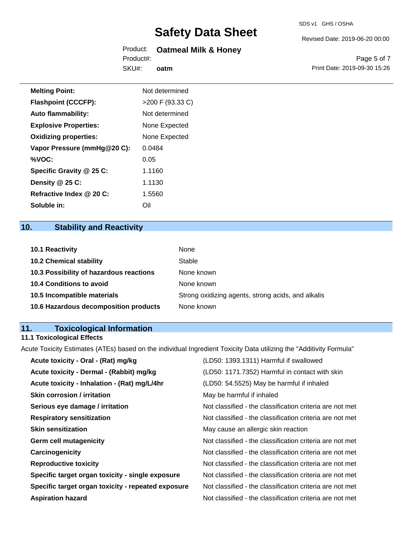### Product: **Oatmeal Milk & Honey** Product#:

SKU#: **oatm** Revised Date: 2019-06-20 00:00

Page 5 of 7 Print Date: 2019-09-30 15:26

| <b>Melting Point:</b>        | Not determined     |
|------------------------------|--------------------|
| <b>Flashpoint (CCCFP):</b>   | $>200$ F (93.33 C) |
| <b>Auto flammability:</b>    | Not determined     |
| <b>Explosive Properties:</b> | None Expected      |
| <b>Oxidizing properties:</b> | None Expected      |
| Vapor Pressure (mmHg@20 C):  | 0.0484             |
| %VOC:                        | 0.05               |
| Specific Gravity @ 25 C:     | 1.1160             |
| Density @ 25 C:              | 1.1130             |
| Refractive Index @ 20 C:     | 1.5560             |

## **10. Stability and Reactivity**

**Soluble in:** Oil

| <b>10.1 Reactivity</b>                  | None                                               |
|-----------------------------------------|----------------------------------------------------|
| <b>10.2 Chemical stability</b>          | Stable                                             |
| 10.3 Possibility of hazardous reactions | None known                                         |
| <b>10.4 Conditions to avoid</b>         | None known                                         |
| 10.5 Incompatible materials             | Strong oxidizing agents, strong acids, and alkalis |
| 10.6 Hazardous decomposition products   | None known                                         |

## **11. Toxicological Information**

## **11.1 Toxicological Effects**

Acute Toxicity Estimates (ATEs) based on the individual Ingredient Toxicity Data utilizing the "Additivity Formula"

| Acute toxicity - Oral - (Rat) mg/kg                | (LD50: 1393.1311) Harmful if swallowed                   |
|----------------------------------------------------|----------------------------------------------------------|
| Acute toxicity - Dermal - (Rabbit) mg/kg           | (LD50: 1171.7352) Harmful in contact with skin           |
| Acute toxicity - Inhalation - (Rat) mg/L/4hr       | (LD50: 54.5525) May be harmful if inhaled                |
| <b>Skin corrosion / irritation</b>                 | May be harmful if inhaled                                |
| Serious eye damage / irritation                    | Not classified - the classification criteria are not met |
| <b>Respiratory sensitization</b>                   | Not classified - the classification criteria are not met |
| <b>Skin sensitization</b>                          | May cause an allergic skin reaction                      |
| <b>Germ cell mutagenicity</b>                      | Not classified - the classification criteria are not met |
| Carcinogenicity                                    | Not classified - the classification criteria are not met |
| <b>Reproductive toxicity</b>                       | Not classified - the classification criteria are not met |
| Specific target organ toxicity - single exposure   | Not classified - the classification criteria are not met |
| Specific target organ toxicity - repeated exposure | Not classified - the classification criteria are not met |
| <b>Aspiration hazard</b>                           | Not classified - the classification criteria are not met |
|                                                    |                                                          |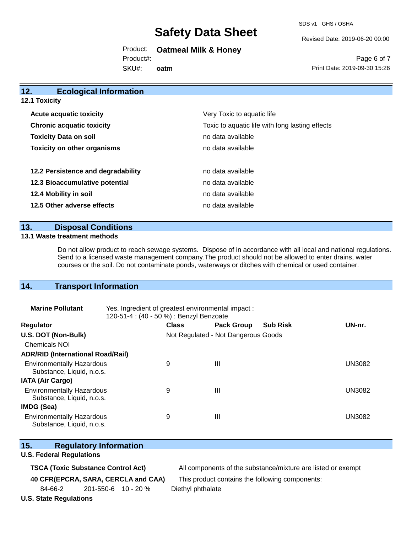SDS v1 GHS / OSHA

Revised Date: 2019-06-20 00:00

Product: **Oatmeal Milk & Honey**

Product#:

SKU#: **oatm**

Page 6 of 7 Print Date: 2019-09-30 15:26

| 12.<br><b>Ecological Information</b> |                                                 |
|--------------------------------------|-------------------------------------------------|
| 12.1 Toxicity                        |                                                 |
| <b>Acute acquatic toxicity</b>       | Very Toxic to aquatic life                      |
| <b>Chronic acquatic toxicity</b>     | Toxic to aquatic life with long lasting effects |
| <b>Toxicity Data on soil</b>         | no data available                               |
| <b>Toxicity on other organisms</b>   | no data available                               |
| 12.2 Persistence and degradability   | no data available                               |
| 12.3 Bioaccumulative potential       | no data available                               |
| 12.4 Mobility in soil                | no data available                               |
| 12.5 Other adverse effects           | no data available                               |
|                                      |                                                 |

## **13. Disposal Conditions**

#### **13.1 Waste treatment methods**

Do not allow product to reach sewage systems. Dispose of in accordance with all local and national regulations. Send to a licensed waste management company.The product should not be allowed to enter drains, water courses or the soil. Do not contaminate ponds, waterways or ditches with chemical or used container.

## **14. Transport Information**

| <b>Marine Pollutant</b>                                       | Yes. Ingredient of greatest environmental impact:<br>120-51-4 : (40 - 50 %) : Benzyl Benzoate |              |                                     |                 |               |
|---------------------------------------------------------------|-----------------------------------------------------------------------------------------------|--------------|-------------------------------------|-----------------|---------------|
| <b>Regulator</b>                                              |                                                                                               | <b>Class</b> | <b>Pack Group</b>                   | <b>Sub Risk</b> | UN-nr.        |
| U.S. DOT (Non-Bulk)                                           |                                                                                               |              | Not Regulated - Not Dangerous Goods |                 |               |
| <b>Chemicals NOI</b>                                          |                                                                                               |              |                                     |                 |               |
| <b>ADR/RID (International Road/Rail)</b>                      |                                                                                               |              |                                     |                 |               |
| <b>Environmentally Hazardous</b><br>Substance, Liquid, n.o.s. |                                                                                               | 9            | $\mathbf{III}$                      |                 | <b>UN3082</b> |
| <b>IATA (Air Cargo)</b>                                       |                                                                                               |              |                                     |                 |               |
| <b>Environmentally Hazardous</b><br>Substance, Liquid, n.o.s. |                                                                                               | 9            | $\mathbf{III}$                      |                 | <b>UN3082</b> |
| IMDG (Sea)                                                    |                                                                                               |              |                                     |                 |               |
| <b>Environmentally Hazardous</b><br>Substance, Liquid, n.o.s. |                                                                                               | 9            | $\mathbf{III}$                      |                 | <b>UN3082</b> |

|  | 15. | <b>Regulatory Information</b> |
|--|-----|-------------------------------|
|--|-----|-------------------------------|

### **U.S. Federal Regulations**

**TSCA (Toxic Substance Control Act)** All components of the substance/mixture are listed or exempt

**40 CFR(EPCRA, SARA, CERCLA and CAA)** This product contains the following components:

84-66-2 201-550-6 10 - 20 % Diethyl phthalate

**U.S. State Regulations**